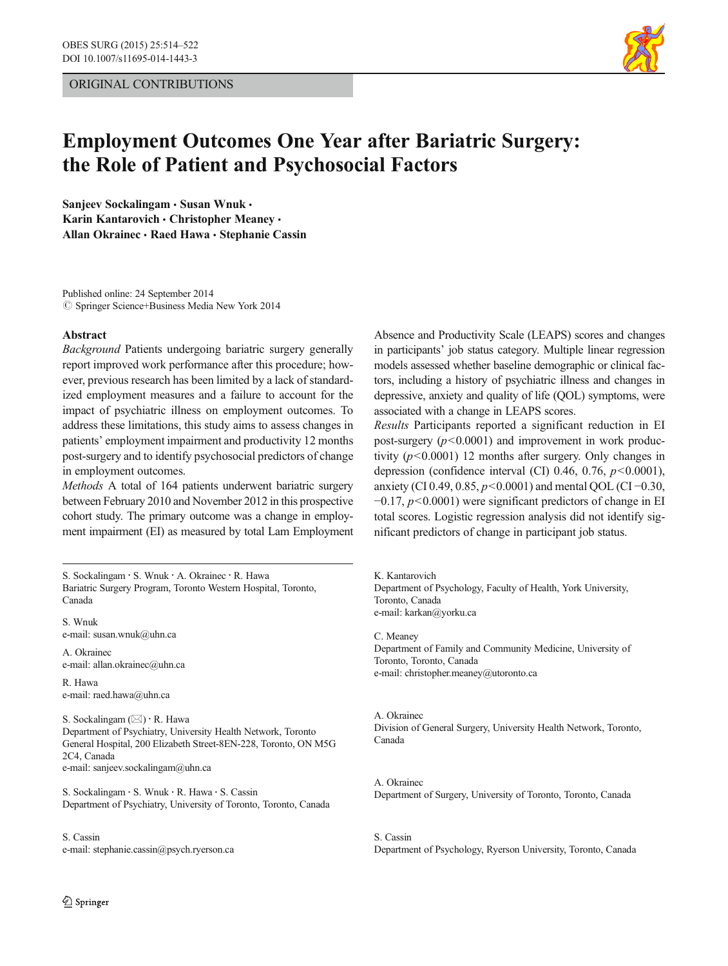

# Employment Outcomes One Year after Bariatric Surgery: the Role of Patient and Psychosocial Factors

Sanjeev Sockalingam · Susan Wnuk · Karin Kantarovich · Christopher Meaney · Allan Okrainec · Raed Hawa · Stephanie Cassin

Published online: 24 September 2014  $\circled{c}$  Springer Science+Business Media New York 2014

#### Abstract

Background Patients undergoing bariatric surgery generally report improved work performance after this procedure; however, previous research has been limited by a lack of standardized employment measures and a failure to account for the impact of psychiatric illness on employment outcomes. To address these limitations, this study aims to assess changes in patients' employment impairment and productivity 12 months post-surgery and to identify psychosocial predictors of change in employment outcomes.

Methods A total of 164 patients underwent bariatric surgery between February 2010 and November 2012 in this prospective cohort study. The primary outcome was a change in employment impairment (EI) as measured by total Lam Employment

S. Sockalingam : S. Wnuk : A. Okrainec : R. Hawa Bariatric Surgery Program, Toronto Western Hospital, Toronto, Canada

S. Wnuk e-mail: susan.wnuk@uhn.ca

A. Okrainec e-mail: allan.okrainec@uhn.ca

R. Hawa e-mail: raed.hawa@uhn.ca

S. Sockalingam  $(\boxtimes) \cdot$  R. Hawa Department of Psychiatry, University Health Network, Toronto General Hospital, 200 Elizabeth Street-8EN-228, Toronto, ON M5G 2C4, Canada e-mail: sanjeev.sockalingam@uhn.ca

S. Sockalingam : S. Wnuk : R. Hawa : S. Cassin Department of Psychiatry, University of Toronto, Toronto, Canada

### S. Cassin e-mail: stephanie.cassin@psych.ryerson.ca

 $\textcircled{2}$  Springer

Absence and Productivity Scale (LEAPS) scores and changes in participants' job status category. Multiple linear regression models assessed whether baseline demographic or clinical factors, including a history of psychiatric illness and changes in depressive, anxiety and quality of life (QOL) symptoms, were associated with a change in LEAPS scores.

Results Participants reported a significant reduction in EI post-surgery  $(p<0.0001)$  and improvement in work productivity  $(p<0.0001)$  12 months after surgery. Only changes in depression (confidence interval (CI) 0.46, 0.76,  $p<0.0001$ ), anxiety (CI 0.49, 0.85,  $p$ <0.0001) and mental QOL (CI −0.30,  $-0.17$ ,  $p<0.0001$ ) were significant predictors of change in EI total scores. Logistic regression analysis did not identify significant predictors of change in participant job status.

K. Kantarovich Department of Psychology, Faculty of Health, York University, Toronto, Canada e-mail: karkan@yorku.ca

C. Meaney Department of Family and Community Medicine, University of Toronto, Toronto, Canada e-mail: christopher.meaney@utoronto.ca

### A. Okrainec Division of General Surgery, University Health Network, Toronto, Canada

A. Okrainec Department of Surgery, University of Toronto, Toronto, Canada

S. Cassin Department of Psychology, Ryerson University, Toronto, Canada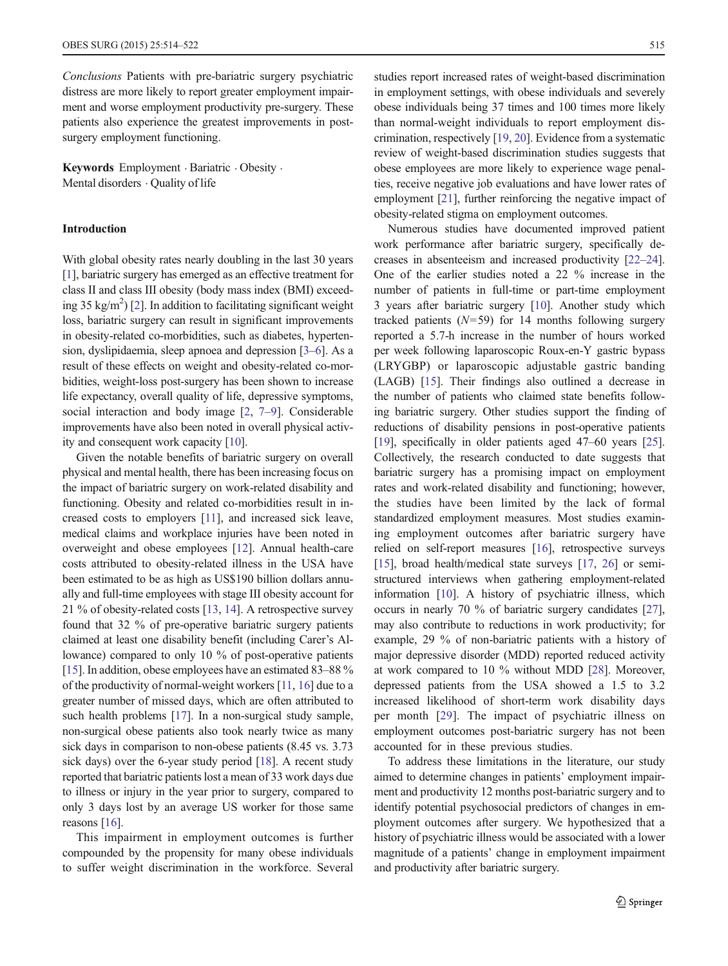Conclusions Patients with pre-bariatric surgery psychiatric distress are more likely to report greater employment impairment and worse employment productivity pre-surgery. These patients also experience the greatest improvements in postsurgery employment functioning.

Keywords Employment . Bariatric . Obesity . Mental disorders  $\cdot$  Ouality of life

# Introduction

With global obesity rates nearly doubling in the last 30 years [\[1](#page-7-0)], bariatric surgery has emerged as an effective treatment for class II and class III obesity (body mass index (BMI) exceed-ing 35 kg/m<sup>2</sup>) [[2\]](#page-7-0). In addition to facilitating significant weight loss, bariatric surgery can result in significant improvements in obesity-related co-morbidities, such as diabetes, hypertension, dyslipidaemia, sleep apnoea and depression [\[3](#page-7-0)–[6\]](#page-7-0). As a result of these effects on weight and obesity-related co-morbidities, weight-loss post-surgery has been shown to increase life expectancy, overall quality of life, depressive symptoms, social interaction and body image [[2,](#page-7-0) [7](#page-7-0)–[9\]](#page-7-0). Considerable improvements have also been noted in overall physical activity and consequent work capacity [\[10](#page-7-0)].

Given the notable benefits of bariatric surgery on overall physical and mental health, there has been increasing focus on the impact of bariatric surgery on work-related disability and functioning. Obesity and related co-morbidities result in increased costs to employers [[11](#page-7-0)], and increased sick leave, medical claims and workplace injuries have been noted in overweight and obese employees [\[12](#page-7-0)]. Annual health-care costs attributed to obesity-related illness in the USA have been estimated to be as high as US\$190 billion dollars annually and full-time employees with stage III obesity account for 21 % of obesity-related costs [\[13,](#page-7-0) [14](#page-7-0)]. A retrospective survey found that 32 % of pre-operative bariatric surgery patients claimed at least one disability benefit (including Carer's Allowance) compared to only 10 % of post-operative patients [\[15\]](#page-7-0). In addition, obese employees have an estimated 83–88 % of the productivity of normal-weight workers [[11](#page-7-0), [16\]](#page-7-0) due to a greater number of missed days, which are often attributed to such health problems [\[17\]](#page-7-0). In a non-surgical study sample, non-surgical obese patients also took nearly twice as many sick days in comparison to non-obese patients (8.45 vs. 3.73 sick days) over the 6-year study period [\[18](#page-7-0)]. A recent study reported that bariatric patients lost a mean of 33 work days due to illness or injury in the year prior to surgery, compared to only 3 days lost by an average US worker for those same reasons [[16\]](#page-7-0).

This impairment in employment outcomes is further compounded by the propensity for many obese individuals to suffer weight discrimination in the workforce. Several studies report increased rates of weight-based discrimination in employment settings, with obese individuals and severely obese individuals being 37 times and 100 times more likely than normal-weight individuals to report employment discrimination, respectively [[19](#page-7-0), [20\]](#page-7-0). Evidence from a systematic review of weight-based discrimination studies suggests that obese employees are more likely to experience wage penalties, receive negative job evaluations and have lower rates of employment [\[21\]](#page-7-0), further reinforcing the negative impact of obesity-related stigma on employment outcomes.

Numerous studies have documented improved patient work performance after bariatric surgery, specifically decreases in absenteeism and increased productivity [\[22](#page-7-0)–[24\]](#page-7-0). One of the earlier studies noted a 22 % increase in the number of patients in full-time or part-time employment 3 years after bariatric surgery [\[10](#page-7-0)]. Another study which tracked patients  $(N=59)$  for 14 months following surgery reported a 5.7-h increase in the number of hours worked per week following laparoscopic Roux-en-Y gastric bypass (LRYGBP) or laparoscopic adjustable gastric banding (LAGB) [\[15](#page-7-0)]. Their findings also outlined a decrease in the number of patients who claimed state benefits following bariatric surgery. Other studies support the finding of reductions of disability pensions in post-operative patients [\[19](#page-7-0)], specifically in older patients aged 47–60 years [[25\]](#page-7-0). Collectively, the research conducted to date suggests that bariatric surgery has a promising impact on employment rates and work-related disability and functioning; however, the studies have been limited by the lack of formal standardized employment measures. Most studies examining employment outcomes after bariatric surgery have relied on self-report measures [[16](#page-7-0)], retrospective surveys [\[15](#page-7-0)], broad health/medical state surveys [\[17,](#page-7-0) [26\]](#page-7-0) or semistructured interviews when gathering employment-related information [\[10](#page-7-0)]. A history of psychiatric illness, which occurs in nearly 70 % of bariatric surgery candidates [[27\]](#page-7-0), may also contribute to reductions in work productivity; for example, 29 % of non-bariatric patients with a history of major depressive disorder (MDD) reported reduced activity at work compared to 10 % without MDD [\[28](#page-7-0)]. Moreover, depressed patients from the USA showed a 1.5 to 3.2 increased likelihood of short-term work disability days per month [\[29](#page-7-0)]. The impact of psychiatric illness on employment outcomes post-bariatric surgery has not been accounted for in these previous studies.

To address these limitations in the literature, our study aimed to determine changes in patients' employment impairment and productivity 12 months post-bariatric surgery and to identify potential psychosocial predictors of changes in employment outcomes after surgery. We hypothesized that a history of psychiatric illness would be associated with a lower magnitude of a patients' change in employment impairment and productivity after bariatric surgery.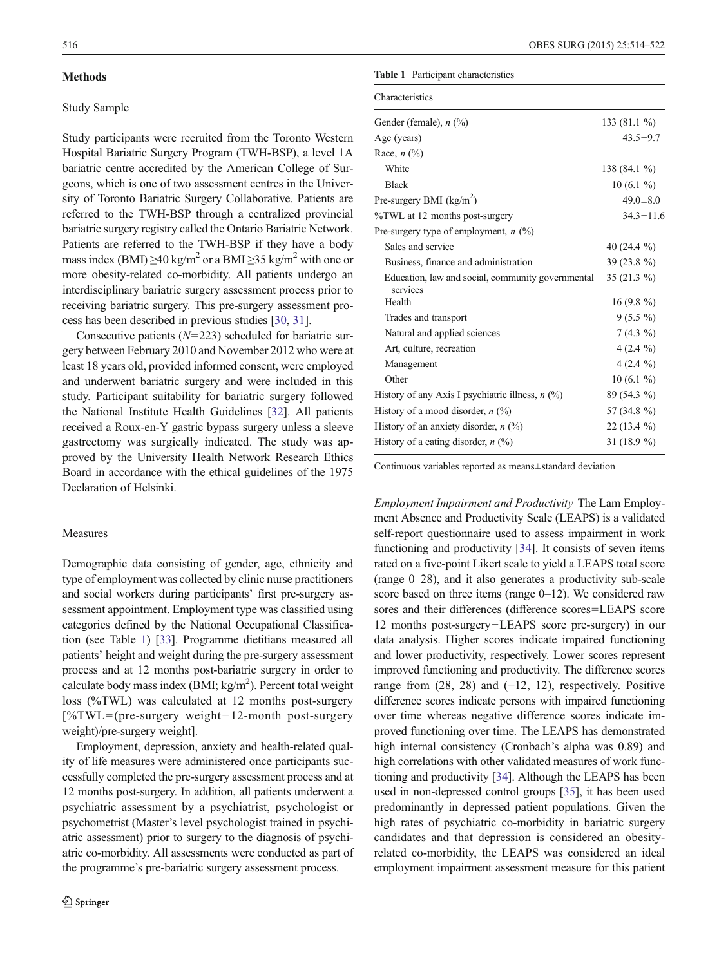## <span id="page-2-0"></span>**Methods**

# Study Sample

Study participants were recruited from the Toronto Western Hospital Bariatric Surgery Program (TWH-BSP), a level 1A bariatric centre accredited by the American College of Surgeons, which is one of two assessment centres in the University of Toronto Bariatric Surgery Collaborative. Patients are referred to the TWH-BSP through a centralized provincial bariatric surgery registry called the Ontario Bariatric Network. Patients are referred to the TWH-BSP if they have a body mass index (BMI)  $\geq$ 40 kg/m<sup>2</sup> or a BMI  $\geq$ 35 kg/m<sup>2</sup> with one or more obesity-related co-morbidity. All patients undergo an interdisciplinary bariatric surgery assessment process prior to receiving bariatric surgery. This pre-surgery assessment process has been described in previous studies [[30,](#page-7-0) [31](#page-7-0)].

Consecutive patients  $(N=223)$  scheduled for bariatric surgery between February 2010 and November 2012 who were at least 18 years old, provided informed consent, were employed and underwent bariatric surgery and were included in this study. Participant suitability for bariatric surgery followed the National Institute Health Guidelines [\[32\]](#page-7-0). All patients received a Roux-en-Y gastric bypass surgery unless a sleeve gastrectomy was surgically indicated. The study was approved by the University Health Network Research Ethics Board in accordance with the ethical guidelines of the 1975 Declaration of Helsinki.

#### Measures

Demographic data consisting of gender, age, ethnicity and type of employment was collected by clinic nurse practitioners and social workers during participants' first pre-surgery assessment appointment. Employment type was classified using categories defined by the National Occupational Classification (see Table 1) [\[33](#page-7-0)]. Programme dietitians measured all patients' height and weight during the pre-surgery assessment process and at 12 months post-bariatric surgery in order to calculate body mass index (BMI;  $kg/m<sup>2</sup>$ ). Percent total weight loss (%TWL) was calculated at 12 months post-surgery [%TWL= (pre-surgery weight−12-month post-surgery weight)/pre-surgery weight].

Employment, depression, anxiety and health-related quality of life measures were administered once participants successfully completed the pre-surgery assessment process and at 12 months post-surgery. In addition, all patients underwent a psychiatric assessment by a psychiatrist, psychologist or psychometrist (Master's level psychologist trained in psychiatric assessment) prior to surgery to the diagnosis of psychiatric co-morbidity. All assessments were conducted as part of the programme's pre-bariatric surgery assessment process.

# Table 1 Participant characteristics

| <b>Characteristics</b>                                        |                 |
|---------------------------------------------------------------|-----------------|
| Gender (female), $n$ (%)                                      | 133 $(81.1\%)$  |
| Age (years)                                                   | $43.5 \pm 9.7$  |
| Race, $n$ $\left(\frac{9}{0}\right)$                          |                 |
| White                                                         | 138 (84.1 %)    |
| <b>Black</b>                                                  | $10(6.1\%)$     |
| Pre-surgery BMI $(kg/m2)$                                     | $49.0 \pm 8.0$  |
| %TWL at 12 months post-surgery                                | $34.3 \pm 11.6$ |
| Pre-surgery type of employment, $n$ (%)                       |                 |
| Sales and service                                             | 40 $(24.4\%)$   |
| Business, finance and administration                          | 39 (23.8 %)     |
| Education, law and social, community governmental<br>services | 35 $(21.3\%)$   |
| Health                                                        | $16(9.8\%)$     |
| Trades and transport                                          | $9(5.5\%)$      |
| Natural and applied sciences                                  | $7(4.3\%)$      |
| Art, culture, recreation                                      | 4 $(2.4\%)$     |
| Management                                                    | $4(2.4\%)$      |
| Other                                                         | $10(6.1\%)$     |
| History of any Axis I psychiatric illness, $n$ (%)            | 89 (54.3 %)     |
| History of a mood disorder, $n$ (%)                           | 57 (34.8 %)     |
| History of an anxiety disorder, $n$ (%)                       | $22(13.4\%)$    |
| History of a eating disorder, $n$ (%)                         | 31 $(18.9\%)$   |

Continuous variables reported as means±standard deviation

Employment Impairment and Productivity The Lam Employment Absence and Productivity Scale (LEAPS) is a validated self-report questionnaire used to assess impairment in work functioning and productivity [\[34\]](#page-7-0). It consists of seven items rated on a five-point Likert scale to yield a LEAPS total score (range 0–28), and it also generates a productivity sub-scale score based on three items (range 0–12). We considered raw sores and their differences (difference scores=LEAPS score 12 months post-surgery−LEAPS score pre-surgery) in our data analysis. Higher scores indicate impaired functioning and lower productivity, respectively. Lower scores represent improved functioning and productivity. The difference scores range from (28, 28) and (−12, 12), respectively. Positive difference scores indicate persons with impaired functioning over time whereas negative difference scores indicate improved functioning over time. The LEAPS has demonstrated high internal consistency (Cronbach's alpha was 0.89) and high correlations with other validated measures of work functioning and productivity [\[34\]](#page-7-0). Although the LEAPS has been used in non-depressed control groups [\[35\]](#page-7-0), it has been used predominantly in depressed patient populations. Given the high rates of psychiatric co-morbidity in bariatric surgery candidates and that depression is considered an obesityrelated co-morbidity, the LEAPS was considered an ideal employment impairment assessment measure for this patient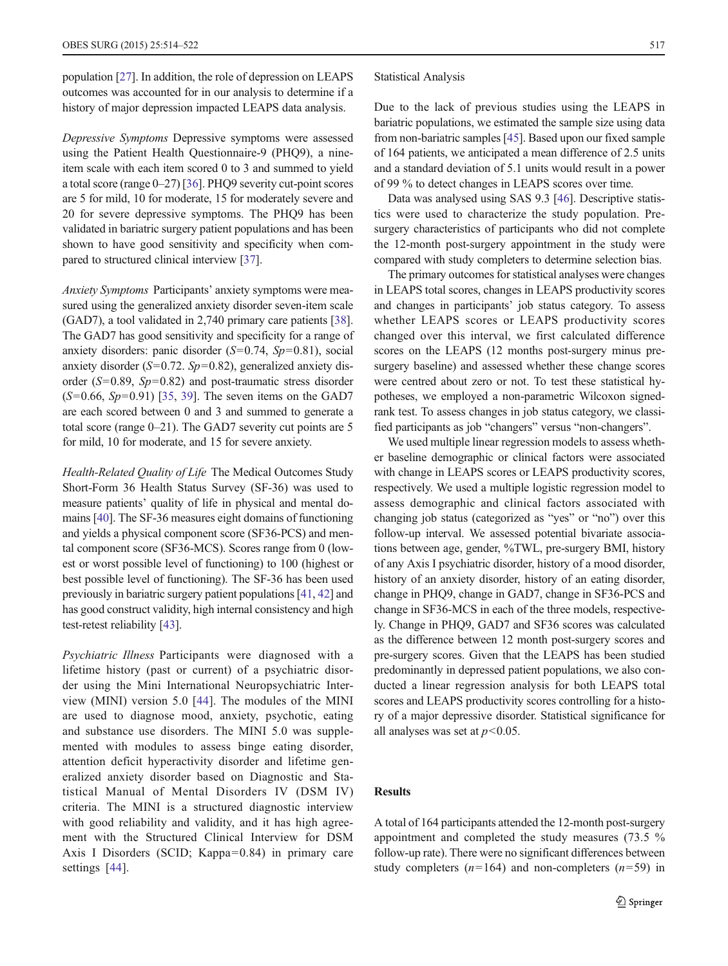population [[27\]](#page-7-0). In addition, the role of depression on LEAPS outcomes was accounted for in our analysis to determine if a history of major depression impacted LEAPS data analysis.

Depressive Symptoms Depressive symptoms were assessed using the Patient Health Questionnaire-9 (PHQ9), a nineitem scale with each item scored 0 to 3 and summed to yield a total score (range 0–27) [\[36](#page-7-0)]. PHQ9 severity cut-point scores are 5 for mild, 10 for moderate, 15 for moderately severe and 20 for severe depressive symptoms. The PHQ9 has been validated in bariatric surgery patient populations and has been shown to have good sensitivity and specificity when compared to structured clinical interview [\[37](#page-7-0)].

Anxiety Symptoms Participants' anxiety symptoms were measured using the generalized anxiety disorder seven-item scale (GAD7), a tool validated in 2,740 primary care patients [[38\]](#page-7-0). The GAD7 has good sensitivity and specificity for a range of anxiety disorders: panic disorder  $(S=0.74, Sp=0.81)$ , social anxiety disorder ( $S=0.72$ .  $Sp=0.82$ ), generalized anxiety disorder ( $S=0.89$ ,  $Sp=0.82$ ) and post-traumatic stress disorder  $(S=0.66, Sp=0.91)$  [[35](#page-7-0), [39\]](#page-8-0). The seven items on the GAD7 are each scored between 0 and 3 and summed to generate a total score (range 0–21). The GAD7 severity cut points are 5 for mild, 10 for moderate, and 15 for severe anxiety.

Health-Related Quality of Life The Medical Outcomes Study Short-Form 36 Health Status Survey (SF-36) was used to measure patients' quality of life in physical and mental domains [\[40](#page-8-0)]. The SF-36 measures eight domains of functioning and yields a physical component score (SF36-PCS) and mental component score (SF36-MCS). Scores range from 0 (lowest or worst possible level of functioning) to 100 (highest or best possible level of functioning). The SF-36 has been used previously in bariatric surgery patient populations [\[41,](#page-8-0) [42\]](#page-8-0) and has good construct validity, high internal consistency and high test-retest reliability [[43](#page-8-0)].

Psychiatric Illness Participants were diagnosed with a lifetime history (past or current) of a psychiatric disorder using the Mini International Neuropsychiatric Interview (MINI) version 5.0 [[44](#page-8-0)]. The modules of the MINI are used to diagnose mood, anxiety, psychotic, eating and substance use disorders. The MINI 5.0 was supplemented with modules to assess binge eating disorder, attention deficit hyperactivity disorder and lifetime generalized anxiety disorder based on Diagnostic and Statistical Manual of Mental Disorders IV (DSM IV) criteria. The MINI is a structured diagnostic interview with good reliability and validity, and it has high agreement with the Structured Clinical Interview for DSM Axis I Disorders (SCID; Kappa=0.84) in primary care settings [[44\]](#page-8-0).

Statistical Analysis

Due to the lack of previous studies using the LEAPS in bariatric populations, we estimated the sample size using data from non-bariatric samples [\[45\]](#page-8-0). Based upon our fixed sample of 164 patients, we anticipated a mean difference of 2.5 units and a standard deviation of 5.1 units would result in a power of 99 % to detect changes in LEAPS scores over time.

Data was analysed using SAS 9.3 [\[46\]](#page-8-0). Descriptive statistics were used to characterize the study population. Presurgery characteristics of participants who did not complete the 12-month post-surgery appointment in the study were compared with study completers to determine selection bias.

The primary outcomes for statistical analyses were changes in LEAPS total scores, changes in LEAPS productivity scores and changes in participants' job status category. To assess whether LEAPS scores or LEAPS productivity scores changed over this interval, we first calculated difference scores on the LEAPS (12 months post-surgery minus presurgery baseline) and assessed whether these change scores were centred about zero or not. To test these statistical hypotheses, we employed a non-parametric Wilcoxon signedrank test. To assess changes in job status category, we classified participants as job "changers" versus "non-changers".

We used multiple linear regression models to assess whether baseline demographic or clinical factors were associated with change in LEAPS scores or LEAPS productivity scores, respectively. We used a multiple logistic regression model to assess demographic and clinical factors associated with changing job status (categorized as "yes" or "no") over this follow-up interval. We assessed potential bivariate associations between age, gender, %TWL, pre-surgery BMI, history of any Axis I psychiatric disorder, history of a mood disorder, history of an anxiety disorder, history of an eating disorder, change in PHQ9, change in GAD7, change in SF36-PCS and change in SF36-MCS in each of the three models, respectively. Change in PHQ9, GAD7 and SF36 scores was calculated as the difference between 12 month post-surgery scores and pre-surgery scores. Given that the LEAPS has been studied predominantly in depressed patient populations, we also conducted a linear regression analysis for both LEAPS total scores and LEAPS productivity scores controlling for a history of a major depressive disorder. Statistical significance for all analyses was set at  $p<0.05$ .

# **Results**

A total of 164 participants attended the 12-month post-surgery appointment and completed the study measures (73.5 % follow-up rate). There were no significant differences between study completers  $(n=164)$  and non-completers  $(n=59)$  in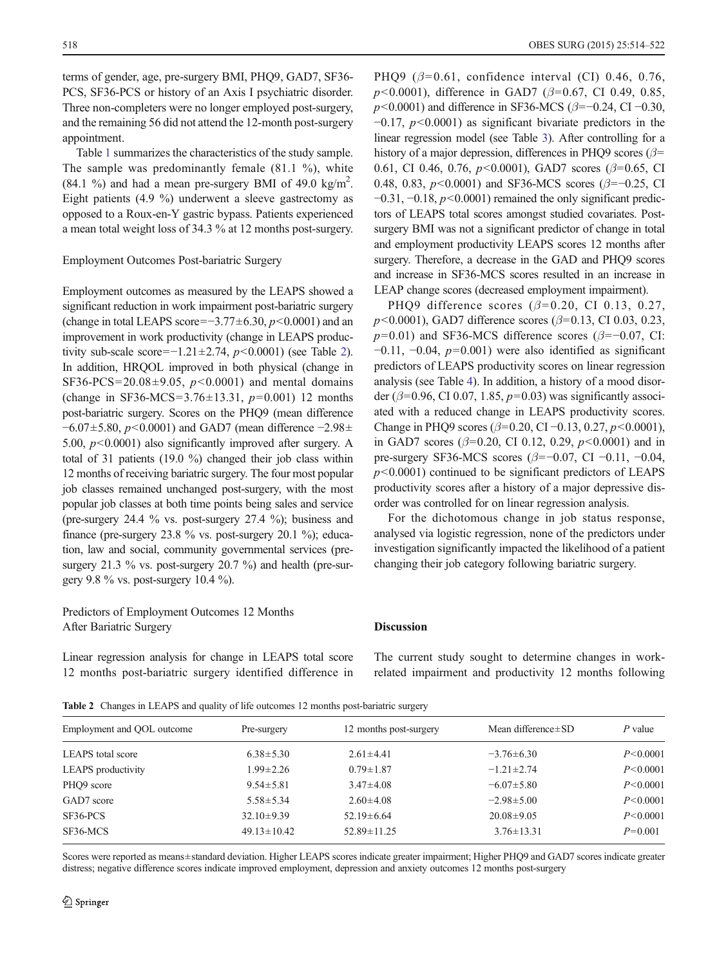terms of gender, age, pre-surgery BMI, PHO9, GAD7, SF36-PCS, SF36-PCS or history of an Axis I psychiatric disorder. Three non-completers were no longer employed post-surgery, and the remaining 56 did not attend the 12-month post-surgery appointment.

Table [1](#page-2-0) summarizes the characteristics of the study sample. The sample was predominantly female (81.1 %), white  $(84.1 \%)$  and had a mean pre-surgery BMI of 49.0 kg/m<sup>2</sup>. Eight patients (4.9 %) underwent a sleeve gastrectomy as opposed to a Roux-en-Y gastric bypass. Patients experienced a mean total weight loss of 34.3 % at 12 months post-surgery.

#### Employment Outcomes Post-bariatric Surgery

Employment outcomes as measured by the LEAPS showed a significant reduction in work impairment post-bariatric surgery (change in total LEAPS score=−3.77 $\pm$ 6.30,  $p$ <0.0001) and an improvement in work productivity (change in LEAPS productivity sub-scale score=−1.21±2.74,  $p$ <0.0001) (see Table 2). In addition, HRQOL improved in both physical (change in SF36-PCS=20.08 $\pm$ 9.05, p<0.0001) and mental domains (change in SF36-MCS=3.76 $\pm$ 13.31, p=0.001) 12 months post-bariatric surgery. Scores on the PHQ9 (mean difference  $-6.07\pm5.80$ ,  $p<0.0001$ ) and GAD7 (mean difference  $-2.98\pm$ 5.00,  $p<0.0001$ ) also significantly improved after surgery. A total of 31 patients (19.0 %) changed their job class within 12 months of receiving bariatric surgery. The four most popular job classes remained unchanged post-surgery, with the most popular job classes at both time points being sales and service (pre-surgery 24.4 % vs. post-surgery 27.4 %); business and finance (pre-surgery 23.8 % vs. post-surgery 20.1 %); education, law and social, community governmental services (presurgery 21.3 % vs. post-surgery 20.7 %) and health (pre-surgery 9.8 % vs. post-surgery 10.4 %).

# Predictors of Employment Outcomes 12 Months After Bariatric Surgery

Linear regression analysis for change in LEAPS total score 12 months post-bariatric surgery identified difference in PHO9 ( $\beta$ =0.61, confidence interval (CI) 0.46, 0.76,  $p$ <0.0001), difference in GAD7 ( $\beta$ =0.67, CI 0.49, 0.85,  $p$  < 0.0001) and difference in SF36-MCS ( $\beta$ =−0.24, CI −0.30,  $-0.17$ ,  $p<0.0001$ ) as significant bivariate predictors in the linear regression model (see Table [3](#page-5-0)). After controlling for a history of a major depression, differences in PHQ9 scores ( $\beta$ = 0.61, CI 0.46, 0.76,  $p<0.0001$ ), GAD7 scores ( $\beta$ =0.65, CI 0.48, 0.83,  $p$ <0.0001) and SF36-MCS scores ( $\beta$ =−0.25, CI  $-0.31, -0.18, p<0.0001$ ) remained the only significant predictors of LEAPS total scores amongst studied covariates. Postsurgery BMI was not a significant predictor of change in total and employment productivity LEAPS scores 12 months after surgery. Therefore, a decrease in the GAD and PHQ9 scores and increase in SF36-MCS scores resulted in an increase in LEAP change scores (decreased employment impairment).

PHQ9 difference scores ( $\beta$ =0.20, CI 0.13, 0.27,  $p$ <0.0001), GAD7 difference scores ( $\beta$ =0.13, CI 0.03, 0.23,  $p=0.01$ ) and SF36-MCS difference scores ( $\beta=-0.07$ , CI:  $-0.11$ ,  $-0.04$ ,  $p=0.001$ ) were also identified as significant predictors of LEAPS productivity scores on linear regression analysis (see Table [4\)](#page-5-0). In addition, a history of a mood disorder ( $\beta$ =0.96, CI 0.07, 1.85,  $p$ =0.03) was significantly associated with a reduced change in LEAPS productivity scores. Change in PHQ9 scores ( $\beta$ =0.20, CI –0.13, 0.27, p<0.0001), in GAD7 scores ( $\beta$ =0.20, CI 0.12, 0.29,  $p$ <0.0001) and in pre-surgery SF36-MCS scores (β=−0.07, CI −0.11, −0.04,  $p$ <0.0001) continued to be significant predictors of LEAPS productivity scores after a history of a major depressive disorder was controlled for on linear regression analysis.

For the dichotomous change in job status response, analysed via logistic regression, none of the predictors under investigation significantly impacted the likelihood of a patient changing their job category following bariatric surgery.

## Discussion

The current study sought to determine changes in workrelated impairment and productivity 12 months following

Table 2 Changes in LEAPS and quality of life outcomes 12 months post-bariatric surgery

| Employment and QOL outcome | Pre-surgery       | 12 months post-surgery | Mean difference $\pm$ SD | P value    |  |
|----------------------------|-------------------|------------------------|--------------------------|------------|--|
| LEAPS total score          | $6.38 \pm 5.30$   | $2.61 \pm 4.41$        | $-3.76\pm 6.30$          | P < 0.0001 |  |
| <b>LEAPS</b> productivity  | $1.99 \pm 2.26$   | $0.79 \pm 1.87$        | $-1.21 \pm 2.74$         | P < 0.0001 |  |
| PHQ9 score                 | $9.54 \pm 5.81$   | $3.47 \pm 4.08$        | $-6.07 \pm 5.80$         | P < 0.0001 |  |
| GAD7 score                 | $5.58 \pm 5.34$   | $2.60 \pm 4.08$        | $-2.98 \pm 5.00$         | P < 0.0001 |  |
| SF36-PCS                   | $32.10\pm9.39$    | $52.19 \pm 6.64$       | $20.08 \pm 9.05$         | P < 0.0001 |  |
| SF36-MCS                   | $49.13 \pm 10.42$ | $52.89 \pm 11.25$      | $3.76 \pm 13.31$         | $P=0.001$  |  |

Scores were reported as means±standard deviation. Higher LEAPS scores indicate greater impairment; Higher PHQ9 and GAD7 scores indicate greater distress; negative difference scores indicate improved employment, depression and anxiety outcomes 12 months post-surgery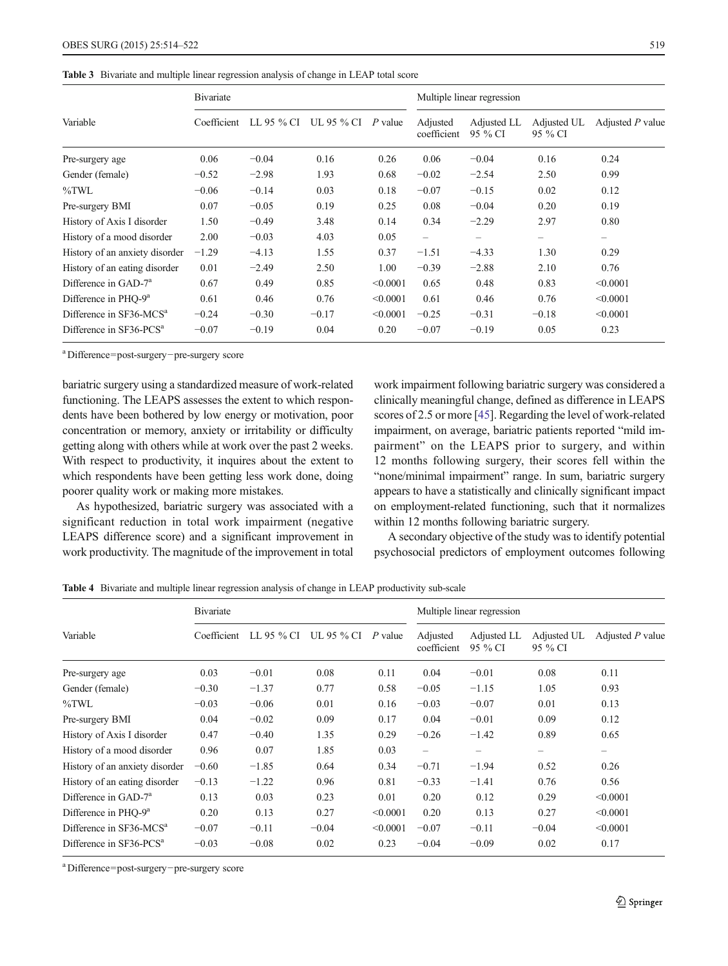#### <span id="page-5-0"></span>Table 3 Bivariate and multiple linear regression analysis of change in LEAP total score

|                                     | <b>B</b> ivariate |            |            |           | Multiple linear regression |                        |                        |                    |
|-------------------------------------|-------------------|------------|------------|-----------|----------------------------|------------------------|------------------------|--------------------|
| Variable                            | Coefficient       | LL 95 % CI | UL 95 % CI | $P$ value | Adjusted<br>coefficient    | Adjusted LL<br>95 % CI | Adjusted UL<br>95 % CI | Adjusted $P$ value |
| Pre-surgery age                     | 0.06              | $-0.04$    | 0.16       | 0.26      | 0.06                       | $-0.04$                | 0.16                   | 0.24               |
| Gender (female)                     | $-0.52$           | $-2.98$    | 1.93       | 0.68      | $-0.02$                    | $-2.54$                | 2.50                   | 0.99               |
| $\%$ TWL                            | $-0.06$           | $-0.14$    | 0.03       | 0.18      | $-0.07$                    | $-0.15$                | 0.02                   | 0.12               |
| Pre-surgery BMI                     | 0.07              | $-0.05$    | 0.19       | 0.25      | 0.08                       | $-0.04$                | 0.20                   | 0.19               |
| History of Axis I disorder          | 1.50              | $-0.49$    | 3.48       | 0.14      | 0.34                       | $-2.29$                | 2.97                   | 0.80               |
| History of a mood disorder          | 2.00              | $-0.03$    | 4.03       | 0.05      | $\overline{\phantom{0}}$   |                        |                        | -                  |
| History of an anxiety disorder      | $-1.29$           | $-4.13$    | 1.55       | 0.37      | $-1.51$                    | $-4.33$                | 1.30                   | 0.29               |
| History of an eating disorder       | 0.01              | $-2.49$    | 2.50       | 1.00      | $-0.39$                    | $-2.88$                | 2.10                   | 0.76               |
| Difference in GAD-7 <sup>a</sup>    | 0.67              | 0.49       | 0.85       | < 0.0001  | 0.65                       | 0.48                   | 0.83                   | < 0.0001           |
| Difference in PHO-9 <sup>a</sup>    | 0.61              | 0.46       | 0.76       | < 0.0001  | 0.61                       | 0.46                   | 0.76                   | < 0.0001           |
| Difference in SF36-MCS <sup>a</sup> | $-0.24$           | $-0.30$    | $-0.17$    | < 0.0001  | $-0.25$                    | $-0.31$                | $-0.18$                | < 0.0001           |
| Difference in SF36-PCS <sup>a</sup> | $-0.07$           | $-0.19$    | 0.04       | 0.20      | $-0.07$                    | $-0.19$                | 0.05                   | 0.23               |

a Difference=post-surgery−pre-surgery score

bariatric surgery using a standardized measure of work-related functioning. The LEAPS assesses the extent to which respondents have been bothered by low energy or motivation, poor concentration or memory, anxiety or irritability or difficulty getting along with others while at work over the past 2 weeks. With respect to productivity, it inquires about the extent to which respondents have been getting less work done, doing poorer quality work or making more mistakes.

As hypothesized, bariatric surgery was associated with a significant reduction in total work impairment (negative LEAPS difference score) and a significant improvement in work productivity. The magnitude of the improvement in total work impairment following bariatric surgery was considered a clinically meaningful change, defined as difference in LEAPS scores of 2.5 or more [\[45\]](#page-8-0). Regarding the level of work-related impairment, on average, bariatric patients reported "mild impairment" on the LEAPS prior to surgery, and within 12 months following surgery, their scores fell within the "none/minimal impairment" range. In sum, bariatric surgery appears to have a statistically and clinically significant impact on employment-related functioning, such that it normalizes within 12 months following bariatric surgery.

A secondary objective of the study was to identify potential psychosocial predictors of employment outcomes following

Table 4 Bivariate and multiple linear regression analysis of change in LEAP productivity sub-scale

| Variable                            | <b>B</b> ivariate |            |            |           | Multiple linear regression |                        |                          |                  |
|-------------------------------------|-------------------|------------|------------|-----------|----------------------------|------------------------|--------------------------|------------------|
|                                     | Coefficient       | LL 95 % CI | UL 95 % CI | $P$ value | Adjusted<br>coefficient    | Adjusted LL<br>95 % CI | Adjusted UL<br>95 % CI   | Adjusted P value |
| Pre-surgery age                     | 0.03              | $-0.01$    | 0.08       | 0.11      | 0.04                       | $-0.01$                | 0.08                     | 0.11             |
| Gender (female)                     | $-0.30$           | $-1.37$    | 0.77       | 0.58      | $-0.05$                    | $-1.15$                | 1.05                     | 0.93             |
| $\%$ TWL                            | $-0.03$           | $-0.06$    | 0.01       | 0.16      | $-0.03$                    | $-0.07$                | 0.01                     | 0.13             |
| Pre-surgery BMI                     | 0.04              | $-0.02$    | 0.09       | 0.17      | 0.04                       | $-0.01$                | 0.09                     | 0.12             |
| History of Axis I disorder          | 0.47              | $-0.40$    | 1.35       | 0.29      | $-0.26$                    | $-1.42$                | 0.89                     | 0.65             |
| History of a mood disorder          | 0.96              | 0.07       | 1.85       | 0.03      | $\overline{\phantom{0}}$   |                        | $\overline{\phantom{0}}$ | -                |
| History of an anxiety disorder      | $-0.60$           | $-1.85$    | 0.64       | 0.34      | $-0.71$                    | $-1.94$                | 0.52                     | 0.26             |
| History of an eating disorder       | $-0.13$           | $-1.22$    | 0.96       | 0.81      | $-0.33$                    | $-1.41$                | 0.76                     | 0.56             |
| Difference in GAD-7 <sup>a</sup>    | 0.13              | 0.03       | 0.23       | 0.01      | 0.20                       | 0.12                   | 0.29                     | < 0.0001         |
| Difference in PHQ-9 <sup>a</sup>    | 0.20              | 0.13       | 0.27       | < 0.0001  | 0.20                       | 0.13                   | 0.27                     | < 0.0001         |
| Difference in SF36-MCS <sup>a</sup> | $-0.07$           | $-0.11$    | $-0.04$    | < 0.0001  | $-0.07$                    | $-0.11$                | $-0.04$                  | < 0.0001         |
| Difference in SF36-PCS <sup>a</sup> | $-0.03$           | $-0.08$    | 0.02       | 0.23      | $-0.04$                    | $-0.09$                | 0.02                     | 0.17             |

a Difference=post-surgery−pre-surgery score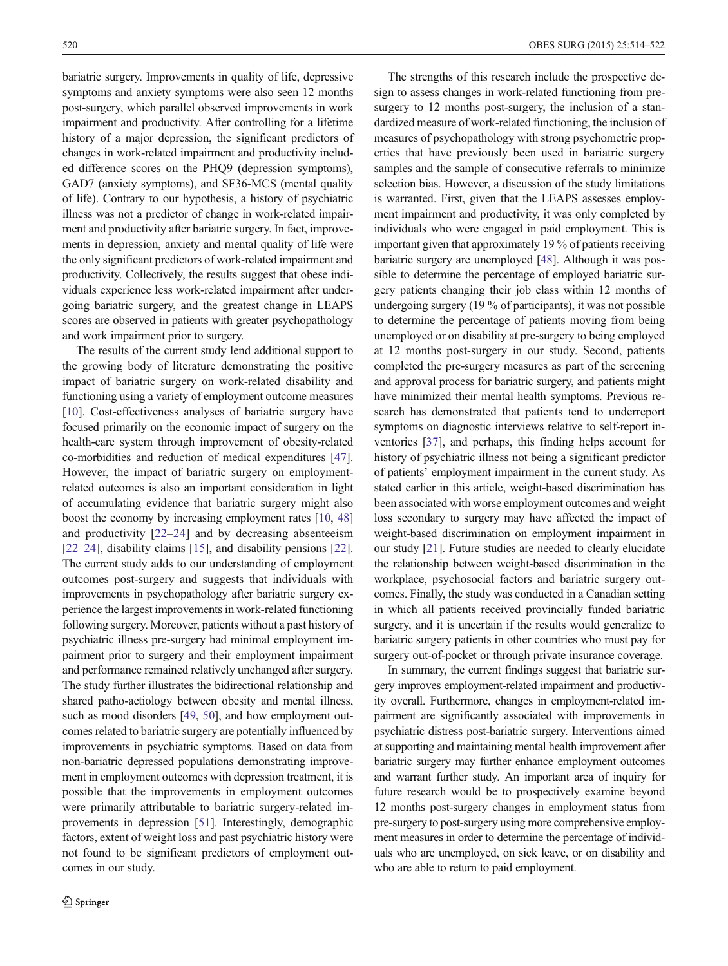bariatric surgery. Improvements in quality of life, depressive symptoms and anxiety symptoms were also seen 12 months post-surgery, which parallel observed improvements in work impairment and productivity. After controlling for a lifetime history of a major depression, the significant predictors of changes in work-related impairment and productivity included difference scores on the PHQ9 (depression symptoms), GAD7 (anxiety symptoms), and SF36-MCS (mental quality of life). Contrary to our hypothesis, a history of psychiatric illness was not a predictor of change in work-related impairment and productivity after bariatric surgery. In fact, improvements in depression, anxiety and mental quality of life were the only significant predictors of work-related impairment and productivity. Collectively, the results suggest that obese individuals experience less work-related impairment after undergoing bariatric surgery, and the greatest change in LEAPS scores are observed in patients with greater psychopathology and work impairment prior to surgery.

The results of the current study lend additional support to the growing body of literature demonstrating the positive impact of bariatric surgery on work-related disability and functioning using a variety of employment outcome measures [\[10](#page-7-0)]. Cost-effectiveness analyses of bariatric surgery have focused primarily on the economic impact of surgery on the health-care system through improvement of obesity-related co-morbidities and reduction of medical expenditures [[47\]](#page-8-0). However, the impact of bariatric surgery on employmentrelated outcomes is also an important consideration in light of accumulating evidence that bariatric surgery might also boost the economy by increasing employment rates [[10,](#page-7-0) [48\]](#page-8-0) and productivity [[22](#page-7-0)–[24\]](#page-7-0) and by decreasing absenteeism [\[22](#page-7-0)–[24\]](#page-7-0), disability claims [\[15\]](#page-7-0), and disability pensions [[22\]](#page-7-0). The current study adds to our understanding of employment outcomes post-surgery and suggests that individuals with improvements in psychopathology after bariatric surgery experience the largest improvements in work-related functioning following surgery. Moreover, patients without a past history of psychiatric illness pre-surgery had minimal employment impairment prior to surgery and their employment impairment and performance remained relatively unchanged after surgery. The study further illustrates the bidirectional relationship and shared patho-aetiology between obesity and mental illness, such as mood disorders [\[49](#page-8-0), [50\]](#page-8-0), and how employment outcomes related to bariatric surgery are potentially influenced by improvements in psychiatric symptoms. Based on data from non-bariatric depressed populations demonstrating improvement in employment outcomes with depression treatment, it is possible that the improvements in employment outcomes were primarily attributable to bariatric surgery-related improvements in depression [\[51](#page-8-0)]. Interestingly, demographic factors, extent of weight loss and past psychiatric history were not found to be significant predictors of employment outcomes in our study.

The strengths of this research include the prospective design to assess changes in work-related functioning from presurgery to 12 months post-surgery, the inclusion of a standardized measure of work-related functioning, the inclusion of measures of psychopathology with strong psychometric properties that have previously been used in bariatric surgery samples and the sample of consecutive referrals to minimize selection bias. However, a discussion of the study limitations is warranted. First, given that the LEAPS assesses employment impairment and productivity, it was only completed by individuals who were engaged in paid employment. This is important given that approximately 19 % of patients receiving bariatric surgery are unemployed [\[48](#page-8-0)]. Although it was possible to determine the percentage of employed bariatric surgery patients changing their job class within 12 months of undergoing surgery (19 % of participants), it was not possible to determine the percentage of patients moving from being unemployed or on disability at pre-surgery to being employed at 12 months post-surgery in our study. Second, patients completed the pre-surgery measures as part of the screening and approval process for bariatric surgery, and patients might have minimized their mental health symptoms. Previous research has demonstrated that patients tend to underreport symptoms on diagnostic interviews relative to self-report inventories [[37\]](#page-7-0), and perhaps, this finding helps account for history of psychiatric illness not being a significant predictor of patients' employment impairment in the current study. As stated earlier in this article, weight-based discrimination has been associated with worse employment outcomes and weight loss secondary to surgery may have affected the impact of weight-based discrimination on employment impairment in our study [\[21\]](#page-7-0). Future studies are needed to clearly elucidate the relationship between weight-based discrimination in the workplace, psychosocial factors and bariatric surgery outcomes. Finally, the study was conducted in a Canadian setting in which all patients received provincially funded bariatric surgery, and it is uncertain if the results would generalize to bariatric surgery patients in other countries who must pay for surgery out-of-pocket or through private insurance coverage.

In summary, the current findings suggest that bariatric surgery improves employment-related impairment and productivity overall. Furthermore, changes in employment-related impairment are significantly associated with improvements in psychiatric distress post-bariatric surgery. Interventions aimed at supporting and maintaining mental health improvement after bariatric surgery may further enhance employment outcomes and warrant further study. An important area of inquiry for future research would be to prospectively examine beyond 12 months post-surgery changes in employment status from pre-surgery to post-surgery using more comprehensive employment measures in order to determine the percentage of individuals who are unemployed, on sick leave, or on disability and who are able to return to paid employment.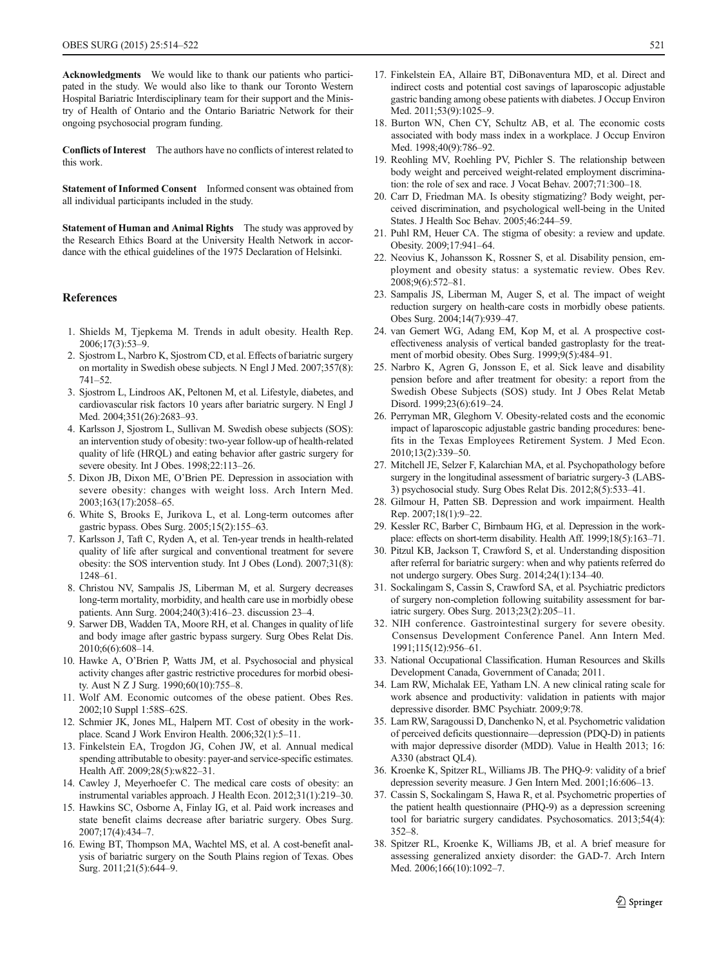<span id="page-7-0"></span>Acknowledgments We would like to thank our patients who participated in the study. We would also like to thank our Toronto Western Hospital Bariatric Interdisciplinary team for their support and the Ministry of Health of Ontario and the Ontario Bariatric Network for their ongoing psychosocial program funding.

Conflicts of Interest The authors have no conflicts of interest related to this work.

Statement of Informed Consent Informed consent was obtained from all individual participants included in the study.

Statement of Human and Animal Rights The study was approved by the Research Ethics Board at the University Health Network in accordance with the ethical guidelines of the 1975 Declaration of Helsinki.

#### **References**

- 1. Shields M, Tjepkema M. Trends in adult obesity. Health Rep. 2006;17(3):53–9.
- 2. Sjostrom L, Narbro K, Sjostrom CD, et al. Effects of bariatric surgery on mortality in Swedish obese subjects. N Engl J Med. 2007;357(8): 741–52.
- 3. Sjostrom L, Lindroos AK, Peltonen M, et al. Lifestyle, diabetes, and cardiovascular risk factors 10 years after bariatric surgery. N Engl J Med. 2004;351(26):2683–93.
- 4. Karlsson J, Sjostrom L, Sullivan M. Swedish obese subjects (SOS): an intervention study of obesity: two-year follow-up of health-related quality of life (HRQL) and eating behavior after gastric surgery for severe obesity. Int J Obes. 1998;22:113–26.
- 5. Dixon JB, Dixon ME, O'Brien PE. Depression in association with severe obesity: changes with weight loss. Arch Intern Med. 2003;163(17):2058–65.
- 6. White S, Brooks E, Jurikova L, et al. Long-term outcomes after gastric bypass. Obes Surg. 2005;15(2):155–63.
- 7. Karlsson J, Taft C, Ryden A, et al. Ten-year trends in health-related quality of life after surgical and conventional treatment for severe obesity: the SOS intervention study. Int J Obes (Lond). 2007;31(8): 1248–61.
- 8. Christou NV, Sampalis JS, Liberman M, et al. Surgery decreases long-term mortality, morbidity, and health care use in morbidly obese patients. Ann Surg. 2004;240(3):416–23. discussion 23–4.
- 9. Sarwer DB, Wadden TA, Moore RH, et al. Changes in quality of life and body image after gastric bypass surgery. Surg Obes Relat Dis. 2010;6(6):608–14.
- 10. Hawke A, O'Brien P, Watts JM, et al. Psychosocial and physical activity changes after gastric restrictive procedures for morbid obesity. Aust N Z J Surg. 1990;60(10):755–8.
- 11. Wolf AM. Economic outcomes of the obese patient. Obes Res. 2002;10 Suppl 1:58S–62S.
- 12. Schmier JK, Jones ML, Halpern MT. Cost of obesity in the workplace. Scand J Work Environ Health. 2006;32(1):5–11.
- 13. Finkelstein EA, Trogdon JG, Cohen JW, et al. Annual medical spending attributable to obesity: payer-and service-specific estimates. Health Aff. 2009;28(5):w822–31.
- 14. Cawley J, Meyerhoefer C. The medical care costs of obesity: an instrumental variables approach. J Health Econ. 2012;31(1):219–30.
- 15. Hawkins SC, Osborne A, Finlay IG, et al. Paid work increases and state benefit claims decrease after bariatric surgery. Obes Surg. 2007;17(4):434–7.
- 16. Ewing BT, Thompson MA, Wachtel MS, et al. A cost-benefit analysis of bariatric surgery on the South Plains region of Texas. Obes Surg. 2011;21(5):644–9.
- 17. Finkelstein EA, Allaire BT, DiBonaventura MD, et al. Direct and indirect costs and potential cost savings of laparoscopic adjustable gastric banding among obese patients with diabetes. J Occup Environ Med. 2011;53(9):1025–9.
- 18. Burton WN, Chen CY, Schultz AB, et al. The economic costs associated with body mass index in a workplace. J Occup Environ Med. 1998;40(9):786–92.
- 19. Reohling MV, Roehling PV, Pichler S. The relationship between body weight and perceived weight-related employment discrimination: the role of sex and race. J Vocat Behav. 2007;71:300–18.
- 20. Carr D, Friedman MA. Is obesity stigmatizing? Body weight, perceived discrimination, and psychological well-being in the United States. J Health Soc Behav. 2005;46:244–59.
- 21. Puhl RM, Heuer CA. The stigma of obesity: a review and update. Obesity. 2009;17:941–64.
- 22. Neovius K, Johansson K, Rossner S, et al. Disability pension, employment and obesity status: a systematic review. Obes Rev. 2008;9(6):572–81.
- 23. Sampalis JS, Liberman M, Auger S, et al. The impact of weight reduction surgery on health-care costs in morbidly obese patients. Obes Surg. 2004;14(7):939–47.
- 24. van Gemert WG, Adang EM, Kop M, et al. A prospective costeffectiveness analysis of vertical banded gastroplasty for the treatment of morbid obesity. Obes Surg. 1999;9(5):484–91.
- 25. Narbro K, Agren G, Jonsson E, et al. Sick leave and disability pension before and after treatment for obesity: a report from the Swedish Obese Subjects (SOS) study. Int J Obes Relat Metab Disord. 1999;23(6):619–24.
- 26. Perryman MR, Gleghorn V. Obesity-related costs and the economic impact of laparoscopic adjustable gastric banding procedures: benefits in the Texas Employees Retirement System. J Med Econ. 2010;13(2):339–50.
- 27. Mitchell JE, Selzer F, Kalarchian MA, et al. Psychopathology before surgery in the longitudinal assessment of bariatric surgery-3 (LABS-3) psychosocial study. Surg Obes Relat Dis. 2012;8(5):533–41.
- 28. Gilmour H, Patten SB. Depression and work impairment. Health Rep. 2007;18(1):9–22.
- 29. Kessler RC, Barber C, Birnbaum HG, et al. Depression in the workplace: effects on short-term disability. Health Aff. 1999;18(5):163–71.
- 30. Pitzul KB, Jackson T, Crawford S, et al. Understanding disposition after referral for bariatric surgery: when and why patients referred do not undergo surgery. Obes Surg. 2014;24(1):134–40.
- 31. Sockalingam S, Cassin S, Crawford SA, et al. Psychiatric predictors of surgery non-completion following suitability assessment for bariatric surgery. Obes Surg. 2013;23(2):205–11.
- 32. NIH conference. Gastrointestinal surgery for severe obesity. Consensus Development Conference Panel. Ann Intern Med. 1991;115(12):956–61.
- 33. National Occupational Classification. Human Resources and Skills Development Canada, Government of Canada; 2011.
- 34. Lam RW, Michalak EE, Yatham LN. A new clinical rating scale for work absence and productivity: validation in patients with major depressive disorder. BMC Psychiatr. 2009;9:78.
- 35. Lam RW, Saragoussi D, Danchenko N, et al. Psychometric validation of perceived deficits questionnaire—depression (PDQ-D) in patients with major depressive disorder (MDD). Value in Health 2013; 16: A330 (abstract QL4).
- 36. Kroenke K, Spitzer RL, Williams JB. The PHQ-9: validity of a brief depression severity measure. J Gen Intern Med. 2001;16:606–13.
- 37. Cassin S, Sockalingam S, Hawa R, et al. Psychometric properties of the patient health questionnaire (PHQ-9) as a depression screening tool for bariatric surgery candidates. Psychosomatics. 2013;54(4): 352–8.
- 38. Spitzer RL, Kroenke K, Williams JB, et al. A brief measure for assessing generalized anxiety disorder: the GAD-7. Arch Intern Med. 2006;166(10):1092-7.